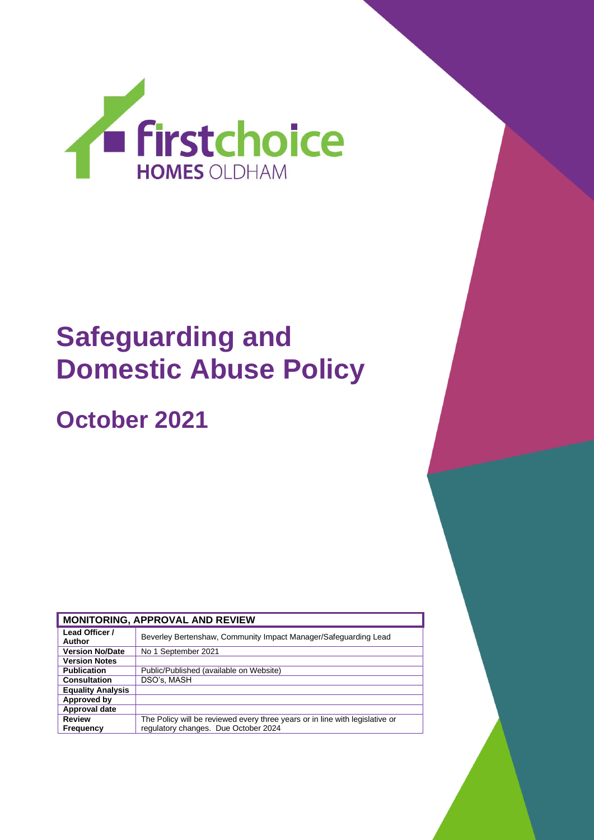

# **Safeguarding and Domestic Abuse Policy**

**October 2021**

| <b>MONITORING, APPROVAL AND REVIEW</b> |                                                                              |  |  |  |
|----------------------------------------|------------------------------------------------------------------------------|--|--|--|
| Lead Officer /<br>Author               | Beverley Bertenshaw, Community Impact Manager/Safeguarding Lead              |  |  |  |
| <b>Version No/Date</b>                 | No 1 September 2021                                                          |  |  |  |
| <b>Version Notes</b>                   |                                                                              |  |  |  |
| <b>Publication</b>                     | Public/Published (available on Website)                                      |  |  |  |
| <b>Consultation</b>                    | DSO's, MASH                                                                  |  |  |  |
| <b>Equality Analysis</b>               |                                                                              |  |  |  |
| Approved by                            |                                                                              |  |  |  |
| Approval date                          |                                                                              |  |  |  |
| <b>Review</b>                          | The Policy will be reviewed every three years or in line with legislative or |  |  |  |
| <b>Frequency</b>                       | regulatory changes. Due October 2024                                         |  |  |  |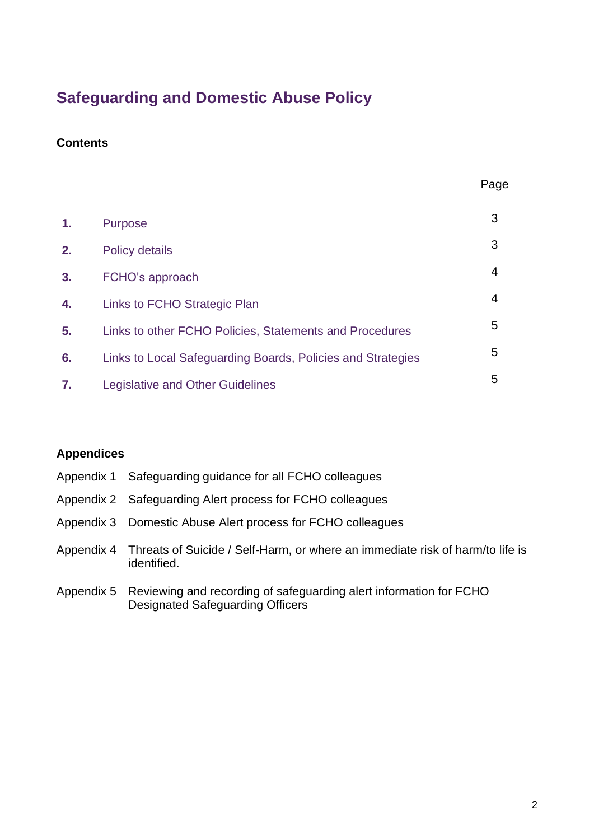# **Safeguarding and Domestic Abuse Policy**

### **Contents**

| 1.             | <b>Purpose</b>                                              | 3 |
|----------------|-------------------------------------------------------------|---|
| 2.             | <b>Policy details</b>                                       | 3 |
| 3.             | FCHO's approach                                             | 4 |
| 4.             | Links to FCHO Strategic Plan                                | 4 |
| 5 <sub>1</sub> | Links to other FCHO Policies, Statements and Procedures     | 5 |
| 6.             | Links to Local Safeguarding Boards, Policies and Strategies | 5 |
| 7.             | Legislative and Other Guidelines                            | 5 |

### **Appendices**

| Appendix 1 Safeguarding guidance for all FCHO colleagues                                                |
|---------------------------------------------------------------------------------------------------------|
| Appendix 2 Safeguarding Alert process for FCHO colleagues                                               |
| Appendix 3 Domestic Abuse Alert process for FCHO colleagues                                             |
| Appendix 4 Threats of Suicide / Self-Harm, or where an immediate risk of harm/to life is<br>identified. |
| Appendix 5 Reviewing and recording of safeguarding alert information for FCHO                           |

Designated Safeguarding Officers

2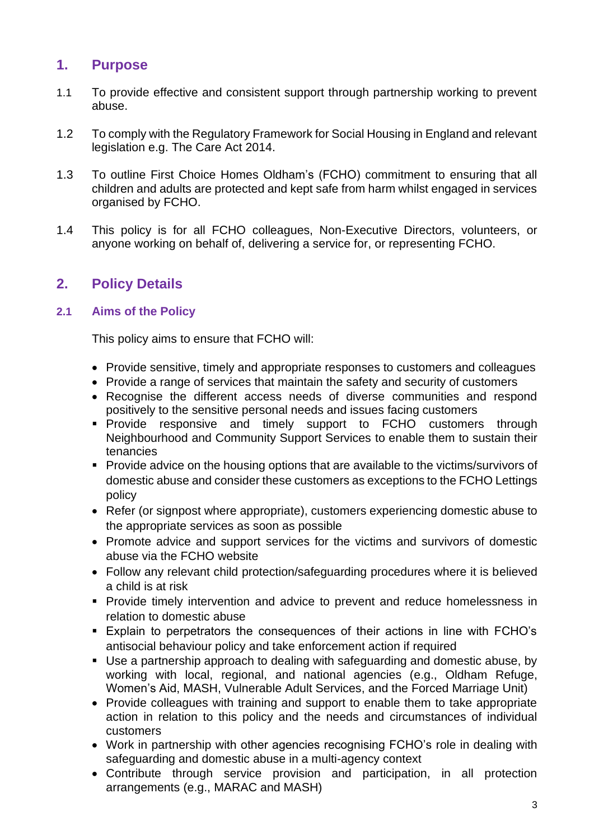## **1. Purpose**

- 1.1 To provide effective and consistent support through partnership working to prevent abuse.
- 1.2 To comply with the Regulatory Framework for Social Housing in England and relevant legislation e.g. The Care Act 2014.
- 1.3 To outline First Choice Homes Oldham's (FCHO) commitment to ensuring that all children and adults are protected and kept safe from harm whilst engaged in services organised by FCHO.
- 1.4 This policy is for all FCHO colleagues, Non-Executive Directors, volunteers, or anyone working on behalf of, delivering a service for, or representing FCHO.

# **2. Policy Details**

### **2.1 Aims of the Policy**

This policy aims to ensure that FCHO will:

- Provide sensitive, timely and appropriate responses to customers and colleagues
- Provide a range of services that maintain the safety and security of customers
- Recognise the different access needs of diverse communities and respond positively to the sensitive personal needs and issues facing customers
- **•** Provide responsive and timely support to FCHO customers through Neighbourhood and Community Support Services to enable them to sustain their tenancies
- Provide advice on the housing options that are available to the victims/survivors of domestic abuse and consider these customers as exceptions to the FCHO Lettings policy
- Refer (or signpost where appropriate), customers experiencing domestic abuse to the appropriate services as soon as possible
- Promote advice and support services for the victims and survivors of domestic abuse via the FCHO website
- Follow any relevant child protection/safeguarding procedures where it is believed a child is at risk
- Provide timely intervention and advice to prevent and reduce homelessness in relation to domestic abuse
- Explain to perpetrators the consequences of their actions in line with FCHO's antisocial behaviour policy and take enforcement action if required
- Use a partnership approach to dealing with safeguarding and domestic abuse, by working with local, regional, and national agencies (e.g., Oldham Refuge, Women's Aid, MASH, Vulnerable Adult Services, and the Forced Marriage Unit)
- Provide colleagues with training and support to enable them to take appropriate action in relation to this policy and the needs and circumstances of individual customers
- Work in partnership with other agencies recognising FCHO's role in dealing with safeguarding and domestic abuse in a multi-agency context
- Contribute through service provision and participation, in all protection arrangements (e.g., MARAC and MASH)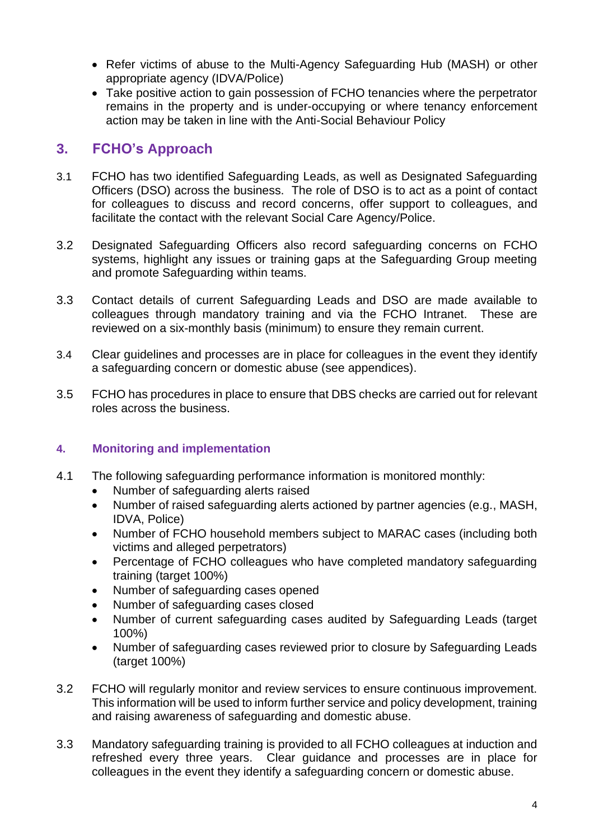- Refer victims of abuse to the Multi-Agency Safeguarding Hub (MASH) or other appropriate agency (IDVA/Police)
- Take positive action to gain possession of FCHO tenancies where the perpetrator remains in the property and is under-occupying or where tenancy enforcement action may be taken in line with the Anti-Social Behaviour Policy

### **3. FCHO's Approach**

- 3.1 FCHO has two identified Safeguarding Leads, as well as Designated Safeguarding Officers (DSO) across the business. The role of DSO is to act as a point of contact for colleagues to discuss and record concerns, offer support to colleagues, and facilitate the contact with the relevant Social Care Agency/Police.
- 3.2 Designated Safeguarding Officers also record safeguarding concerns on FCHO systems, highlight any issues or training gaps at the Safeguarding Group meeting and promote Safeguarding within teams.
- 3.3 Contact details of current Safeguarding Leads and DSO are made available to colleagues through mandatory training and via the FCHO Intranet. These are reviewed on a six-monthly basis (minimum) to ensure they remain current.
- 3.4 Clear guidelines and processes are in place for colleagues in the event they identify a safeguarding concern or domestic abuse (see appendices).
- 3.5 FCHO has procedures in place to ensure that DBS checks are carried out for relevant roles across the business.

### **4. Monitoring and implementation**

- 4.1 The following safeguarding performance information is monitored monthly:
	- Number of safeguarding alerts raised
	- Number of raised safeguarding alerts actioned by partner agencies (e.g., MASH, IDVA, Police)
	- Number of FCHO household members subject to MARAC cases (including both victims and alleged perpetrators)
	- Percentage of FCHO colleagues who have completed mandatory safeguarding training (target 100%)
	- Number of safeguarding cases opened
	- Number of safeguarding cases closed
	- Number of current safeguarding cases audited by Safeguarding Leads (target 100%)
	- Number of safeguarding cases reviewed prior to closure by Safeguarding Leads (target 100%)
- 3.2 FCHO will regularly monitor and review services to ensure continuous improvement. This information will be used to inform further service and policy development, training and raising awareness of safeguarding and domestic abuse.
- 3.3 Mandatory safeguarding training is provided to all FCHO colleagues at induction and refreshed every three years. Clear guidance and processes are in place for colleagues in the event they identify a safeguarding concern or domestic abuse.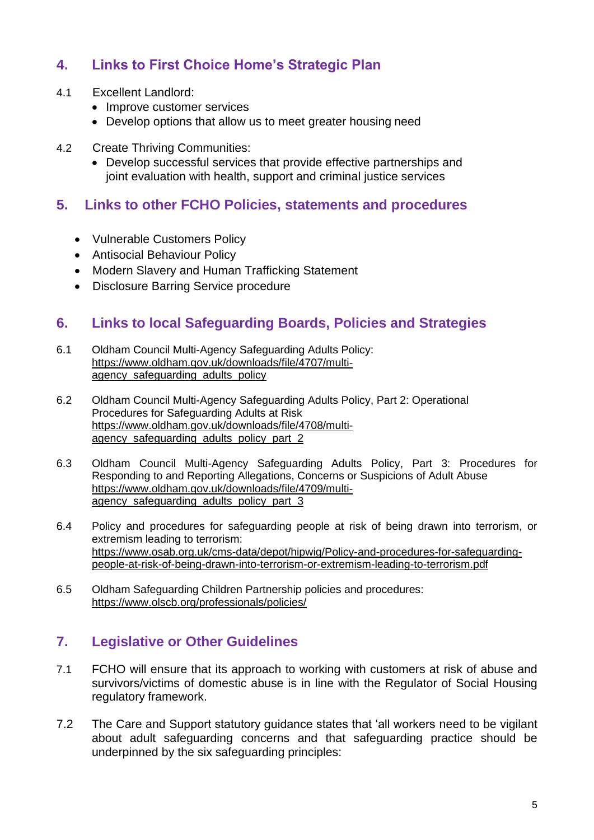# **4. Links to First Choice Home's Strategic Plan**

#### 4.1 Excellent Landlord:

- Improve customer services
- Develop options that allow us to meet greater housing need

#### 4.2 Create Thriving Communities:

• Develop successful services that provide effective partnerships and joint evaluation with health, support and criminal justice services

### **5. Links to other FCHO Policies, statements and procedures**

- Vulnerable Customers Policy
- Antisocial Behaviour Policy
- Modern Slavery and Human Trafficking Statement
- Disclosure Barring Service procedure

### **6. Links to local Safeguarding Boards, Policies and Strategies**

- 6.1 Oldham Council Multi-Agency Safeguarding Adults Policy: [https://www.oldham.gov.uk/downloads/file/4707/multi](https://www.oldham.gov.uk/downloads/file/4707/multi-agency_safeguarding_adults_policy)[agency\\_safeguarding\\_adults\\_policy](https://www.oldham.gov.uk/downloads/file/4707/multi-agency_safeguarding_adults_policy)
- 6.2 Oldham Council Multi-Agency Safeguarding Adults Policy, Part 2: Operational Procedures for Safeguarding Adults at Risk [https://www.oldham.gov.uk/downloads/file/4708/multi](https://www.oldham.gov.uk/downloads/file/4708/multi-agency_safeguarding_adults_policy_part_2)agency safeguarding adults policy part 2
- 6.3 Oldham Council Multi-Agency Safeguarding Adults Policy, Part 3: Procedures for Responding to and Reporting Allegations, Concerns or Suspicions of Adult Abuse [https://www.oldham.gov.uk/downloads/file/4709/multi](https://www.oldham.gov.uk/downloads/file/4709/multi-agency_safeguarding_adults_policy_part_3)agency safeguarding adults policy part 3
- 6.4 Policy and procedures for safeguarding people at risk of being drawn into terrorism, or extremism leading to terrorism: [https://www.osab.org.uk/cms-data/depot/hipwig/Policy-and-procedures-for-safeguarding](https://www.osab.org.uk/cms-data/depot/hipwig/Policy-and-procedures-for-safeguarding-people-at-risk-of-being-drawn-into-terrorism-or-extremism-leading-to-terrorism.pdf)[people-at-risk-of-being-drawn-into-terrorism-or-extremism-leading-to-terrorism.pdf](https://www.osab.org.uk/cms-data/depot/hipwig/Policy-and-procedures-for-safeguarding-people-at-risk-of-being-drawn-into-terrorism-or-extremism-leading-to-terrorism.pdf)
- 6.5 Oldham Safeguarding Children Partnership policies and procedures: <https://www.olscb.org/professionals/policies/>

### **7. Legislative or Other Guidelines**

- 7.1 FCHO will ensure that its approach to working with customers at risk of abuse and survivors/victims of domestic abuse is in line with the Regulator of Social Housing regulatory framework.
- 7.2 The Care and Support statutory guidance states that 'all workers need to be vigilant about adult safeguarding concerns and that safeguarding practice should be underpinned by the six safeguarding principles: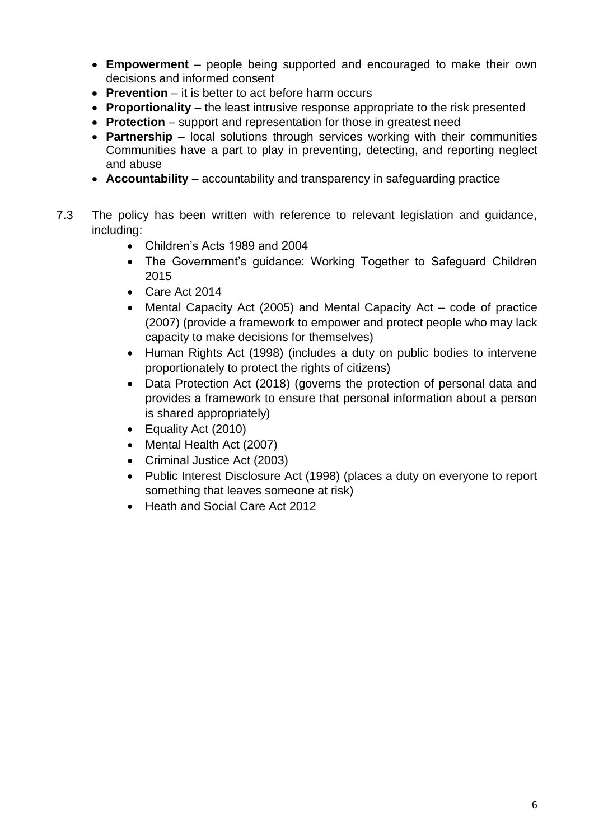- **Empowerment** people being supported and encouraged to make their own decisions and informed consent
- **Prevention** it is better to act before harm occurs
- **Proportionality** the least intrusive response appropriate to the risk presented
- **Protection** support and representation for those in greatest need
- **Partnership** local solutions through services working with their communities Communities have a part to play in preventing, detecting, and reporting neglect and abuse
- **Accountability** accountability and transparency in safeguarding practice
- 7.3 The policy has been written with reference to relevant legislation and guidance, including:
	- Children's Acts 1989 and 2004
	- The Government's guidance: Working Together to Safeguard Children 2015
	- Care Act 2014
	- Mental Capacity Act (2005) and Mental Capacity Act code of practice (2007) (provide a framework to empower and protect people who may lack capacity to make decisions for themselves)
	- Human Rights Act (1998) (includes a duty on public bodies to intervene proportionately to protect the rights of citizens)
	- Data Protection Act (2018) (governs the protection of personal data and provides a framework to ensure that personal information about a person is shared appropriately)
	- Equality Act (2010)
	- Mental Health Act (2007)
	- Criminal Justice Act (2003)
	- Public Interest Disclosure Act (1998) (places a duty on everyone to report something that leaves someone at risk)
	- Heath and Social Care Act 2012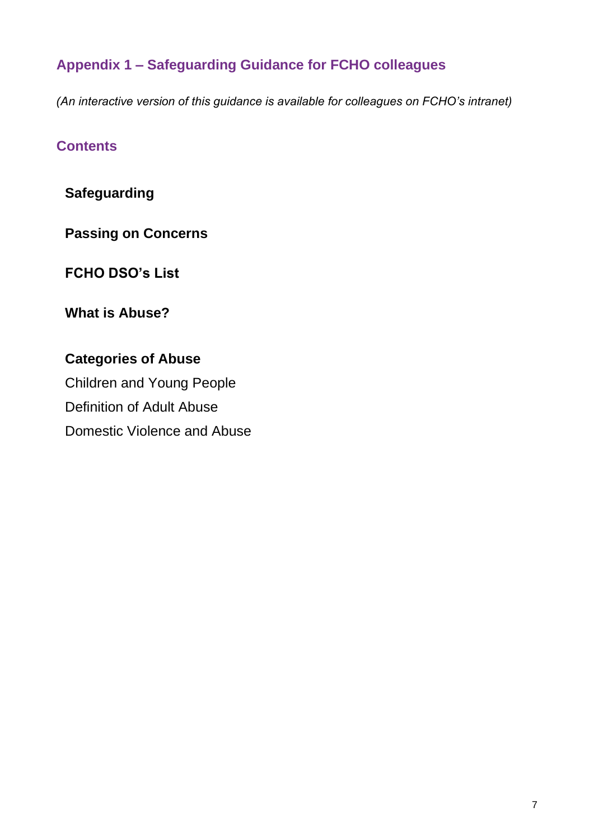# **Appendix 1 – Safeguarding Guidance for FCHO colleagues**

*(An interactive version of this guidance is available for colleagues on FCHO's intranet)*

### **Contents**

**Safeguarding**

**Passing on Concerns**

**FCHO DSO's List**

**[What is Abuse?](#page-10-0)**

**Categories of Abuse** Children and Young People Definition of Adult Abuse [Domestic Violence and Abuse](#page-14-0)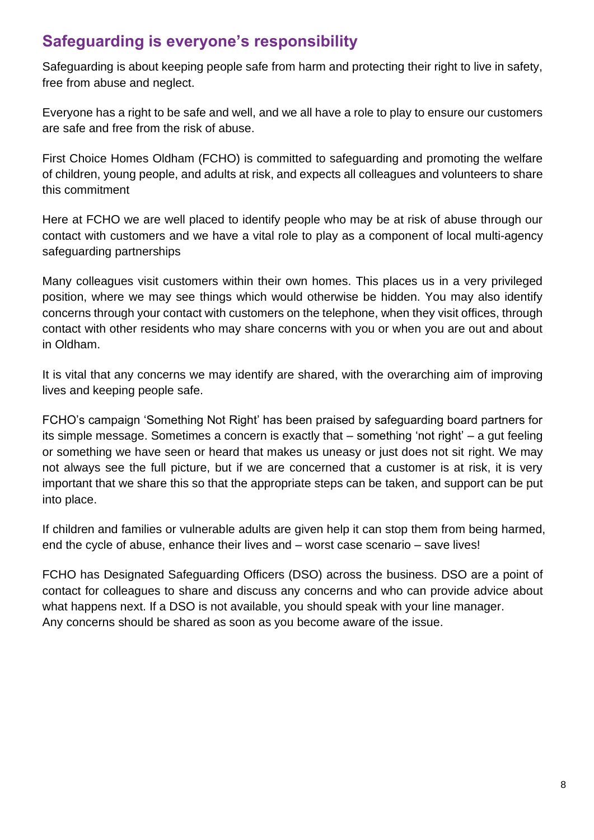# **Safeguarding is everyone's responsibility**

Safeguarding is about keeping people safe from harm and protecting their right to live in safety, free from abuse and neglect.

Everyone has a right to be safe and well, and we all have a role to play to ensure our customers are safe and free from the risk of abuse.

First Choice Homes Oldham (FCHO) is committed to safeguarding and promoting the welfare of children, young people, and adults at risk, and expects all colleagues and volunteers to share this commitment

Here at FCHO we are well placed to identify people who may be at risk of abuse through our contact with customers and we have a vital role to play as a component of local multi-agency safeguarding partnerships

Many colleagues visit customers within their own homes. This places us in a very privileged position, where we may see things which would otherwise be hidden. You may also identify concerns through your contact with customers on the telephone, when they visit offices, through contact with other residents who may share concerns with you or when you are out and about in Oldham.

It is vital that any concerns we may identify are shared, with the overarching aim of improving lives and keeping people safe.

FCHO's campaign 'Something Not Right' has been praised by safeguarding board partners for its simple message. Sometimes a concern is exactly that – something 'not right' – a gut feeling or something we have seen or heard that makes us uneasy or just does not sit right. We may not always see the full picture, but if we are concerned that a customer is at risk, it is very important that we share this so that the appropriate steps can be taken, and support can be put into place.

If children and families or vulnerable adults are given help it can stop them from being harmed, end the cycle of abuse, enhance their lives and – worst case scenario – save lives!

FCHO has Designated Safeguarding Officers (DSO) across the business. DSO are a point of contact for colleagues to share and discuss any concerns and who can provide advice about what happens next. If a DSO is not available, you should speak with your line manager. Any concerns should be shared as soon as you become aware of the issue.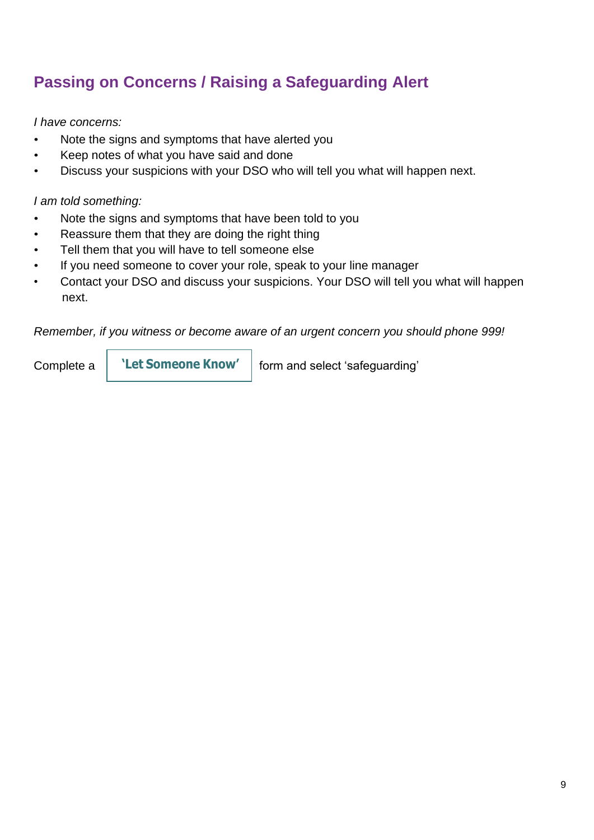# **Passing on Concerns / Raising a Safeguarding Alert**

*I have concerns:*

- Note the signs and symptoms that have alerted you
- Keep notes of what you have said and done
- Discuss your suspicions with your DSO who will tell you what will happen next.

### *I am told something:*

- Note the signs and symptoms that have been told to you
- Reassure them that they are doing the right thing
- Tell them that you will have to tell someone else
- If you need someone to cover your role, speak to your line manager
- Contact your DSO and discuss your suspicions. Your DSO will tell you what will happen next.

*Remember, if you witness or become aware of an urgent concern you should phone 999!*

**'Let [Someone](http://letsomeoneknow.fcho.co.uk/) Know'**

Complete a  $\blacksquare$  **Let Someone Know'** | form and select 'safeguarding'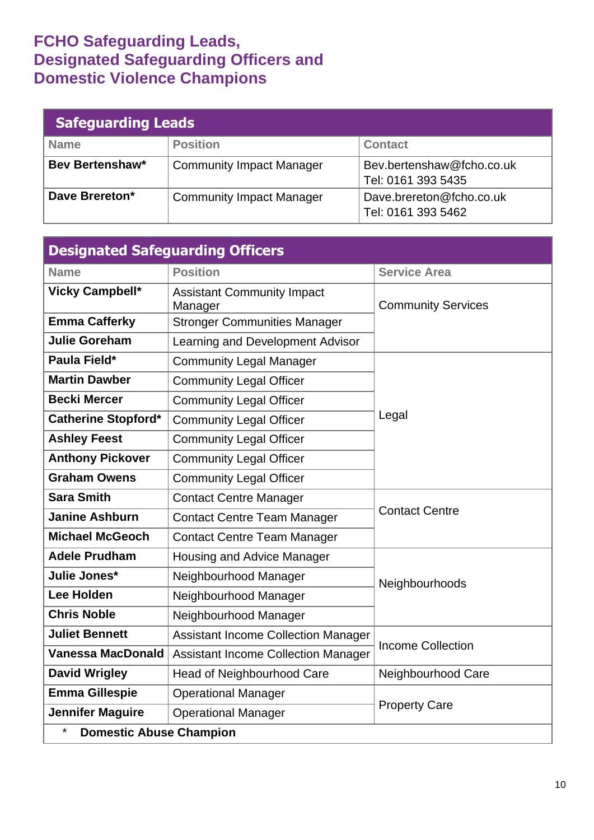# **FCHO Safeguarding Leads, Designated Safeguarding Officers and Domestic Violence Champions**

| <b>Safeguarding Leads</b> |                                 |                                                 |  |  |
|---------------------------|---------------------------------|-------------------------------------------------|--|--|
| <b>Name</b>               | <b>Position</b>                 | <b>Contact</b>                                  |  |  |
| <b>Bev Bertenshaw*</b>    | <b>Community Impact Manager</b> | Bev.bertenshaw@fcho.co.uk<br>Tel: 0161 393 5435 |  |  |
| Dave Brereton*            | <b>Community Impact Manager</b> | Dave.brereton@fcho.co.uk<br>Tel: 0161 393 5462  |  |  |

| <b>Designated Safeguarding Officers</b>   |                                              |                           |  |  |
|-------------------------------------------|----------------------------------------------|---------------------------|--|--|
| <b>Name</b>                               | <b>Position</b>                              | <b>Service Area</b>       |  |  |
| <b>Vicky Campbell*</b>                    | <b>Assistant Community Impact</b><br>Manager | <b>Community Services</b> |  |  |
| <b>Emma Cafferky</b>                      | <b>Stronger Communities Manager</b>          |                           |  |  |
| <b>Julie Goreham</b>                      | Learning and Development Advisor             |                           |  |  |
| Paula Field*                              | <b>Community Legal Manager</b>               |                           |  |  |
| <b>Martin Dawber</b>                      | <b>Community Legal Officer</b>               | Legal                     |  |  |
| <b>Becki Mercer</b>                       | <b>Community Legal Officer</b>               |                           |  |  |
| <b>Catherine Stopford*</b>                | <b>Community Legal Officer</b>               |                           |  |  |
| <b>Ashley Feest</b>                       | <b>Community Legal Officer</b>               |                           |  |  |
| <b>Anthony Pickover</b>                   | <b>Community Legal Officer</b>               |                           |  |  |
| <b>Graham Owens</b>                       | <b>Community Legal Officer</b>               |                           |  |  |
| <b>Sara Smith</b>                         | <b>Contact Centre Manager</b>                | <b>Contact Centre</b>     |  |  |
| <b>Janine Ashburn</b>                     | <b>Contact Centre Team Manager</b>           |                           |  |  |
| <b>Michael McGeoch</b>                    | <b>Contact Centre Team Manager</b>           |                           |  |  |
| <b>Adele Prudham</b>                      | Housing and Advice Manager                   |                           |  |  |
| Julie Jones*                              | Neighbourhood Manager                        | Neighbourhoods            |  |  |
| Lee Holden                                | Neighbourhood Manager                        |                           |  |  |
| <b>Chris Noble</b>                        | Neighbourhood Manager                        |                           |  |  |
| <b>Juliet Bennett</b>                     | <b>Assistant Income Collection Manager</b>   |                           |  |  |
| <b>Vanessa MacDonald</b>                  | <b>Assistant Income Collection Manager</b>   | <b>Income Collection</b>  |  |  |
| <b>David Wrigley</b>                      | <b>Head of Neighbourhood Care</b>            | Neighbourhood Care        |  |  |
| <b>Emma Gillespie</b>                     | <b>Operational Manager</b>                   |                           |  |  |
| <b>Jennifer Maguire</b>                   | <b>Operational Manager</b>                   | <b>Property Care</b>      |  |  |
| $\star$<br><b>Domestic Abuse Champion</b> |                                              |                           |  |  |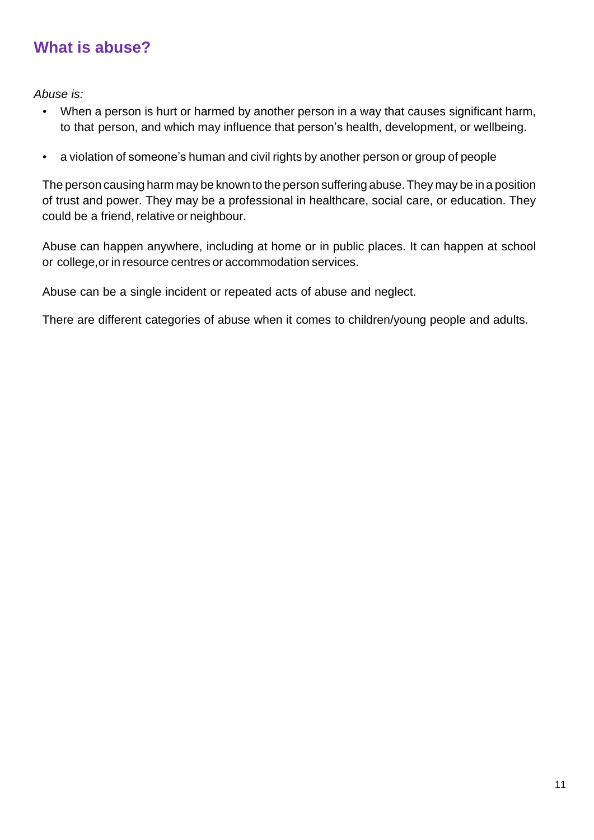# <span id="page-10-0"></span>**What is abuse?**

*Abuse is:*

- When a person is hurt or harmed by another person in a way that causes significant harm, to that person, and which may influence that person's health, development, or wellbeing.
- a violation of someone's human and civil rights by another person or group of people

The person causing harm may be known to the person suffering abuse.They may be in a position of trust and power. They may be a professional in healthcare, social care, or education. They could be a friend, relative or neighbour.

Abuse can happen anywhere, including at home or in public places. It can happen at school or college,or in resource centres or accommodation services.

Abuse can be a single incident or repeated acts of abuse and neglect.

There are different categories of abuse when it comes to children/young people and adults.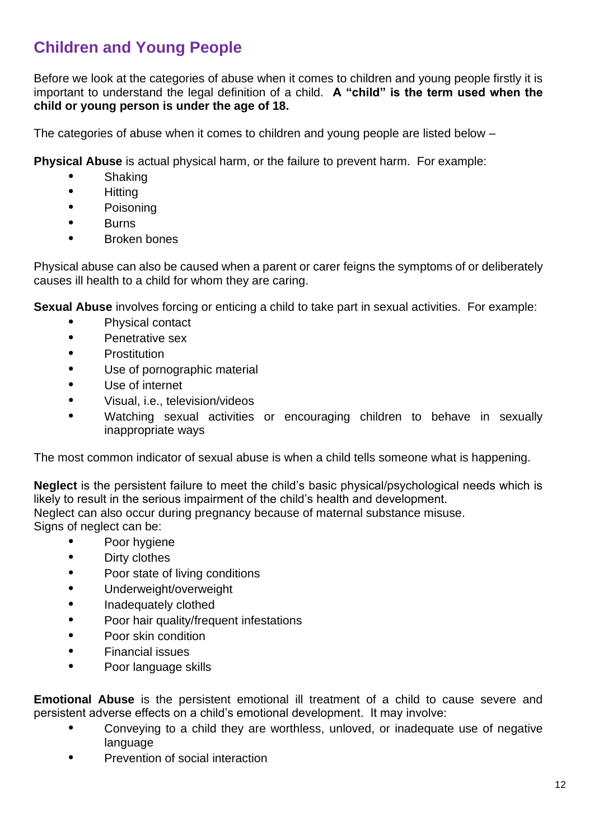# **Children and Young People**

Before we look at the categories of abuse when it comes to children and young people firstly it is important to understand the legal definition of a child. **A "child" is the term used when the child or young person is under the age of 18.**

The categories of abuse when it comes to children and young people are listed below –

**Physical Abuse** is actual physical harm, or the failure to prevent harm. For example:

- **•** Shaking
- **•** Hitting
- **•** Poisoning
- **•** Burns
- **•** Broken bones

Physical abuse can also be caused when a parent or carer feigns the symptoms of or deliberately causes ill health to a child for whom they are caring.

**Sexual Abuse** involves forcing or enticing a child to take part in sexual activities. For example:

- **•** Physical contact
- **•** Penetrative sex
- **•** Prostitution
- **•** Use of pornographic material
- **•** Use of internet
- **•** Visual, i.e., television/videos
- **•** Watching sexual activities or encouraging children to behave in sexually inappropriate ways

The most common indicator of sexual abuse is when a child tells someone what is happening.

**Neglect** is the persistent failure to meet the child's basic physical/psychological needs which is likely to result in the serious impairment of the child's health and development. Neglect can also occur during pregnancy because of maternal substance misuse. Signs of neglect can be:

- **•** Poor hygiene
- **•** Dirty clothes
- **•** Poor state of living conditions
- **•** Underweight/overweight
- **•** Inadequately clothed
- **•** Poor hair quality/frequent infestations
- **•** Poor skin condition
- **•** Financial issues
- **•** Poor language skills

**Emotional Abuse** is the persistent emotional ill treatment of a child to cause severe and persistent adverse effects on a child's emotional development. It may involve:

- **•** Conveying to a child they are worthless, unloved, or inadequate use of negative language
- **•** Prevention of social interaction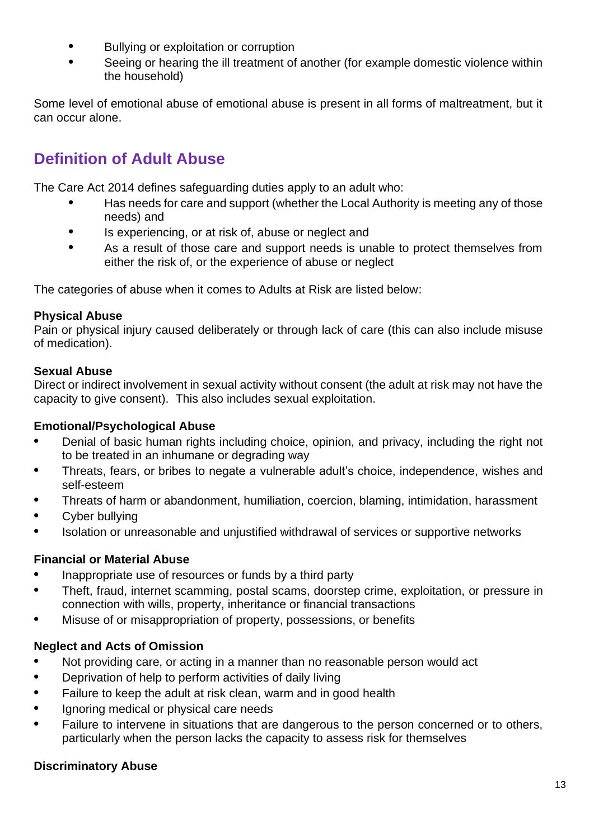- **•** Bullying or exploitation or corruption
- **•** Seeing or hearing the ill treatment of another (for example domestic violence within the household)

Some level of emotional abuse of emotional abuse is present in all forms of maltreatment, but it can occur alone.

# **Definition of Adult Abuse**

The Care Act 2014 defines safeguarding duties apply to an adult who:

- **•** Has needs for care and support (whether the Local Authority is meeting any of those needs) and
- **•** Is experiencing, or at risk of, abuse or neglect and
- **•** As a result of those care and support needs is unable to protect themselves from either the risk of, or the experience of abuse or neglect

The categories of abuse when it comes to Adults at Risk are listed below:

#### **Physical Abuse**

Pain or physical injury caused deliberately or through lack of care (this can also include misuse of medication).

#### **Sexual Abuse**

Direct or indirect involvement in sexual activity without consent (the adult at risk may not have the capacity to give consent). This also includes sexual exploitation.

#### **Emotional/Psychological Abuse**

- **•** Denial of basic human rights including choice, opinion, and privacy, including the right not to be treated in an inhumane or degrading way
- **•** Threats, fears, or bribes to negate a vulnerable adult's choice, independence, wishes and self-esteem
- **•** Threats of harm or abandonment, humiliation, coercion, blaming, intimidation, harassment
- **•** Cyber bullying
- **•** Isolation or unreasonable and unjustified withdrawal of services or supportive networks

### **Financial or Material Abuse**

- **•** Inappropriate use of resources or funds by a third party
- **•** Theft, fraud, internet scamming, postal scams, doorstep crime, exploitation, or pressure in connection with wills, property, inheritance or financial transactions
- **•** Misuse of or misappropriation of property, possessions, or benefits

### **Neglect and Acts of Omission**

- **•** Not providing care, or acting in a manner than no reasonable person would act
- **•** Deprivation of help to perform activities of daily living
- **•** Failure to keep the adult at risk clean, warm and in good health
- **•** Ignoring medical or physical care needs
- **•** Failure to intervene in situations that are dangerous to the person concerned or to others, particularly when the person lacks the capacity to assess risk for themselves

### **Discriminatory Abuse**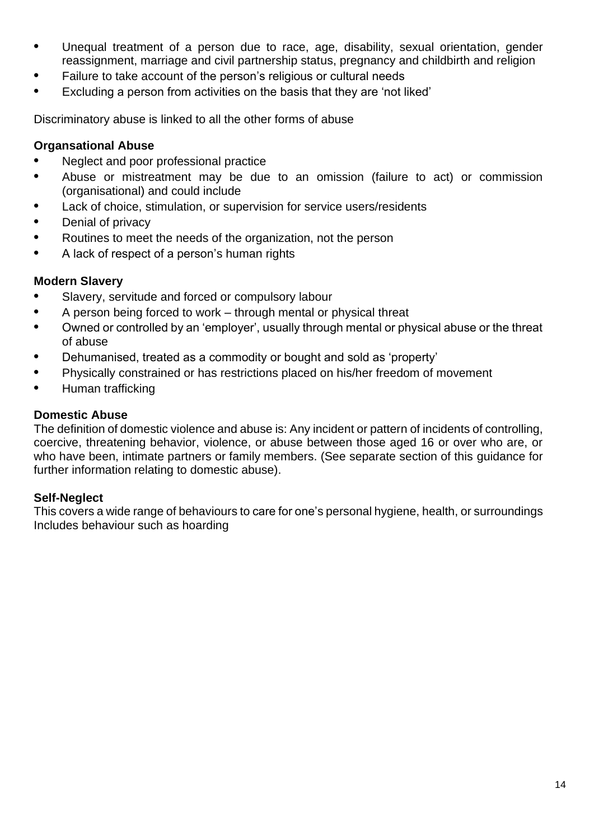- **•** Unequal treatment of a person due to race, age, disability, sexual orientation, gender reassignment, marriage and civil partnership status, pregnancy and childbirth and religion
- **•** Failure to take account of the person's religious or cultural needs
- **•** Excluding a person from activities on the basis that they are 'not liked'

Discriminatory abuse is linked to all the other forms of abuse

#### **Organsational Abuse**

- **•** Neglect and poor professional practice
- **•** Abuse or mistreatment may be due to an omission (failure to act) or commission (organisational) and could include
- **•** Lack of choice, stimulation, or supervision for service users/residents
- **•** Denial of privacy
- **•** Routines to meet the needs of the organization, not the person
- **•** A lack of respect of a person's human rights

#### **Modern Slavery**

- **•** Slavery, servitude and forced or compulsory labour
- **•** A person being forced to work through mental or physical threat
- **•** Owned or controlled by an 'employer', usually through mental or physical abuse or the threat of abuse
- **•** Dehumanised, treated as a commodity or bought and sold as 'property'
- **•** Physically constrained or has restrictions placed on his/her freedom of movement
- **•** Human trafficking

#### **Domestic Abuse**

The definition of domestic violence and abuse is: Any incident or pattern of incidents of controlling, coercive, threatening behavior, violence, or abuse between those aged 16 or over who are, or who have been, intimate partners or family members. (See separate section of this guidance for further information relating to domestic abuse).

#### **Self-Neglect**

This covers a wide range of behaviours to care for one's personal hygiene, health, or surroundings Includes behaviour such as hoarding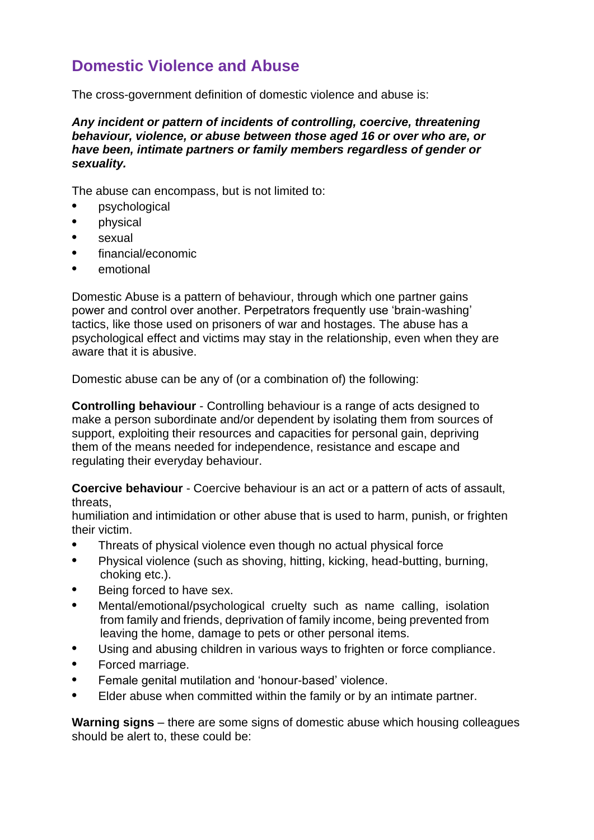# <span id="page-14-0"></span>**Domestic Violence and Abuse**

The cross-government definition of domestic violence and abuse is:

*Any incident or pattern of incidents of controlling, coercive, threatening behaviour, violence, or abuse between those aged 16 or over who are, or have been, intimate partners or family members regardless of gender or sexuality.*

The abuse can encompass, but is not limited to:

- **•** psychological
- **•** physical
- **•** sexual
- **•** financial/economic
- **•** emotional

Domestic Abuse is a pattern of behaviour, through which one partner gains power and control over another. Perpetrators frequently use 'brain-washing' tactics, like those used on prisoners of war and hostages. The abuse has a psychological effect and victims may stay in the relationship, even when they are aware that it is abusive.

Domestic abuse can be any of (or a combination of) the following:

**Controlling behaviour** - Controlling behaviour is a range of acts designed to make a person subordinate and/or dependent by isolating them from sources of support, exploiting their resources and capacities for personal gain, depriving them of the means needed for independence, resistance and escape and regulating their everyday behaviour.

**Coercive behaviour** - Coercive behaviour is an act or a pattern of acts of assault, threats,

humiliation and intimidation or other abuse that is used to harm, punish, or frighten their victim.

- **•** Threats of physical violence even though no actual physical force
- **•** Physical violence (such as shoving, hitting, kicking, head-butting, burning, choking etc.).
- **•** Being forced to have sex.
- **•** Mental/emotional/psychological cruelty such as name calling, isolation from family and friends, deprivation of family income, being prevented from leaving the home, damage to pets or other personal items.
- **•** Using and abusing children in various ways to frighten or force compliance.
- **•** Forced marriage.
- **•** Female genital mutilation and 'honour-based' violence.
- **•** Elder abuse when committed within the family or by an intimate partner.

**Warning signs** – there are some signs of domestic abuse which housing colleagues should be alert to, these could be: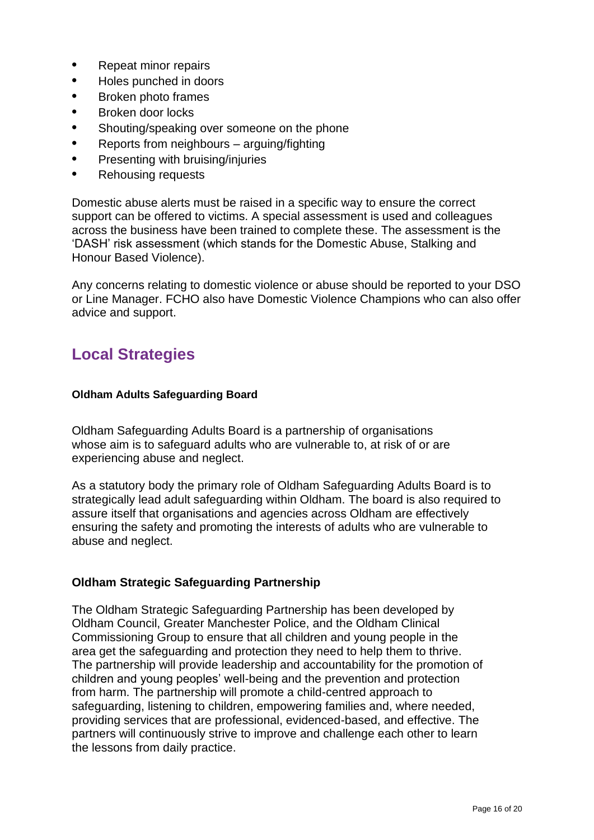- **•** Repeat minor repairs
- **•** Holes punched in doors
- **•** Broken photo frames
- **•** Broken door locks
- **•** Shouting/speaking over someone on the phone
- **•** Reports from neighbours arguing/fighting
- **•** Presenting with bruising/injuries
- **•** Rehousing requests

Domestic abuse alerts must be raised in a specific way to ensure the correct support can be offered to victims. A special assessment is used and colleagues across the business have been trained to complete these. The assessment is the 'DASH' risk assessment (which stands for the Domestic Abuse, Stalking and Honour Based Violence).

Any concerns relating to domestic violence or abuse should be reported to your DSO or Line Manager. FCHO also have Domestic Violence Champions who can also offer advice and support.

# **Local Strategies**

#### **Oldham Adults Safeguarding Board**

Oldham Safeguarding Adults Board is a partnership of organisations whose aim is to safeguard adults who are vulnerable to, at risk of or are experiencing abuse and neglect.

As a statutory body the primary role of Oldham Safeguarding Adults Board is to strategically lead adult safeguarding within Oldham. The board is also required to assure itself that organisations and agencies across Oldham are effectively ensuring the safety and promoting the interests of adults who are vulnerable to abuse and neglect.

#### **Oldham Strategic Safeguarding Partnership**

The Oldham Strategic Safeguarding Partnership has been developed by Oldham Council, Greater Manchester Police, and the Oldham Clinical Commissioning Group to ensure that all children and young people in the area get the safeguarding and protection they need to help them to thrive. The partnership will provide leadership and accountability for the promotion of children and young peoples' well-being and the prevention and protection from harm. The partnership will promote a child-centred approach to safeguarding, listening to children, empowering families and, where needed, providing services that are professional, evidenced-based, and effective. The partners will continuously strive to improve and challenge each other to learn the lessons from daily practice.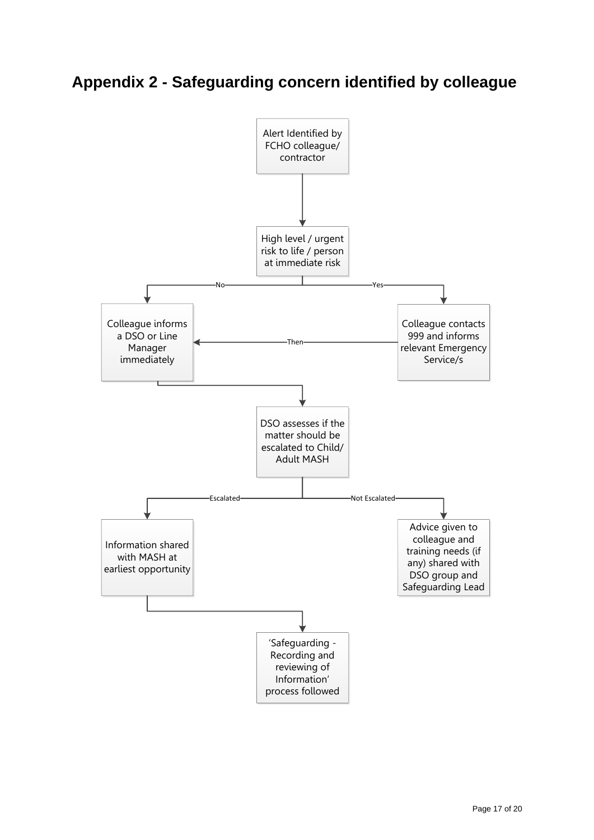# **Appendix 2 - Safeguarding concern identified by colleague**

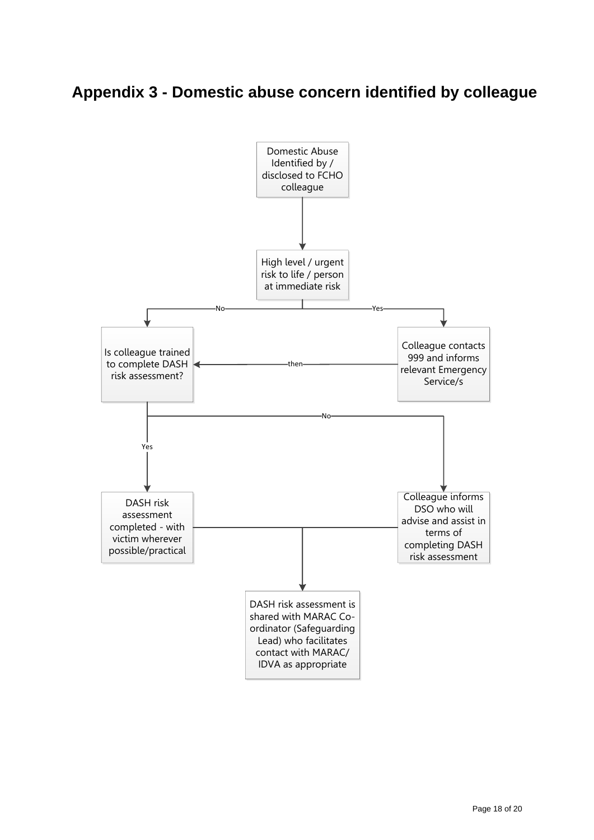# **Appendix 3 - Domestic abuse concern identified by colleague**

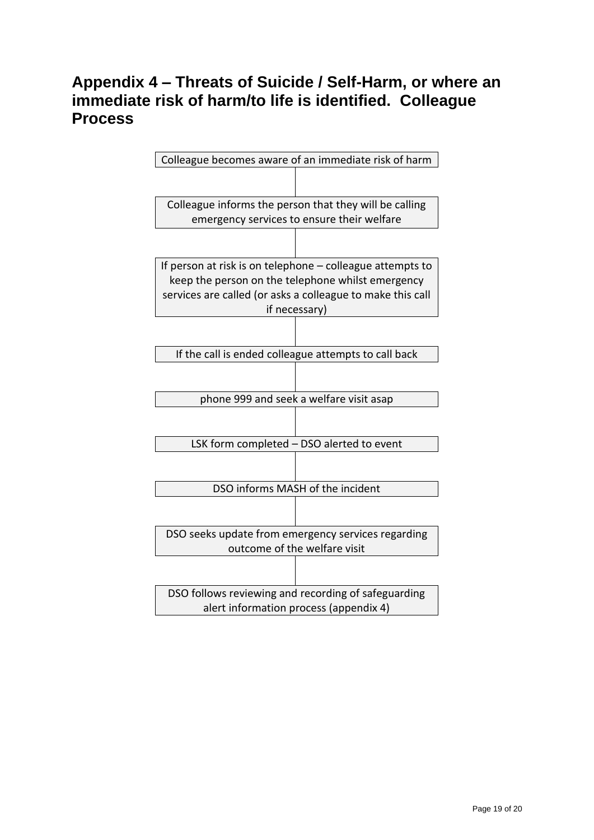# **Appendix 4 – Threats of Suicide / Self-Harm, or where an immediate risk of harm/to life is identified. Colleague Process**